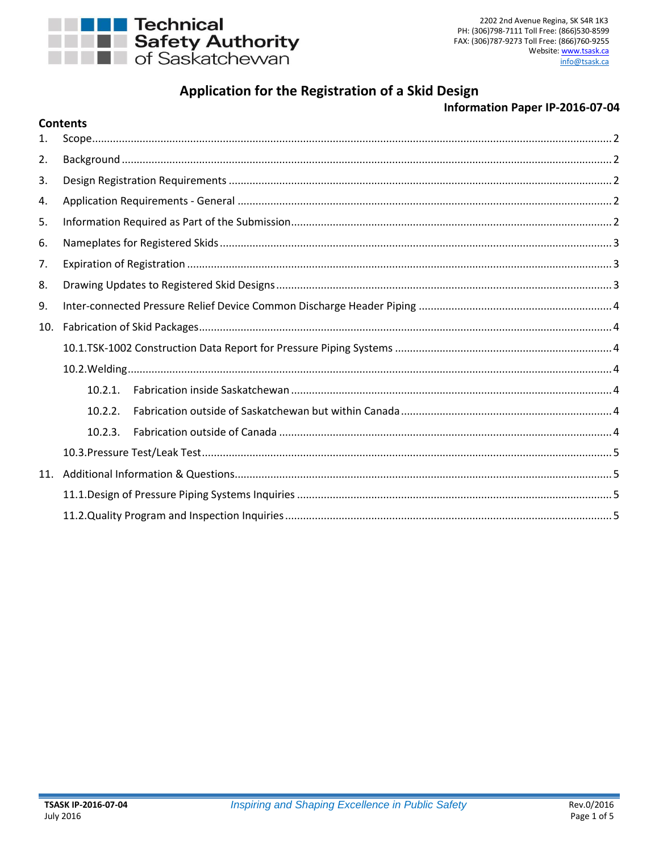

Contents

# Application for the Registration of a Skid Design

# **Information Paper IP-2016-07-04**

| 1.  |            |  |
|-----|------------|--|
| 2.  |            |  |
| 3.  |            |  |
| 4.  |            |  |
| 5.  |            |  |
| 6.  |            |  |
| 7.  |            |  |
| 8.  |            |  |
| 9.  |            |  |
| 10. |            |  |
|     |            |  |
|     |            |  |
|     | $10.2.1$ . |  |
|     | 10.2.2.    |  |
|     | 10.2.3.    |  |
|     |            |  |
|     |            |  |
|     |            |  |
|     |            |  |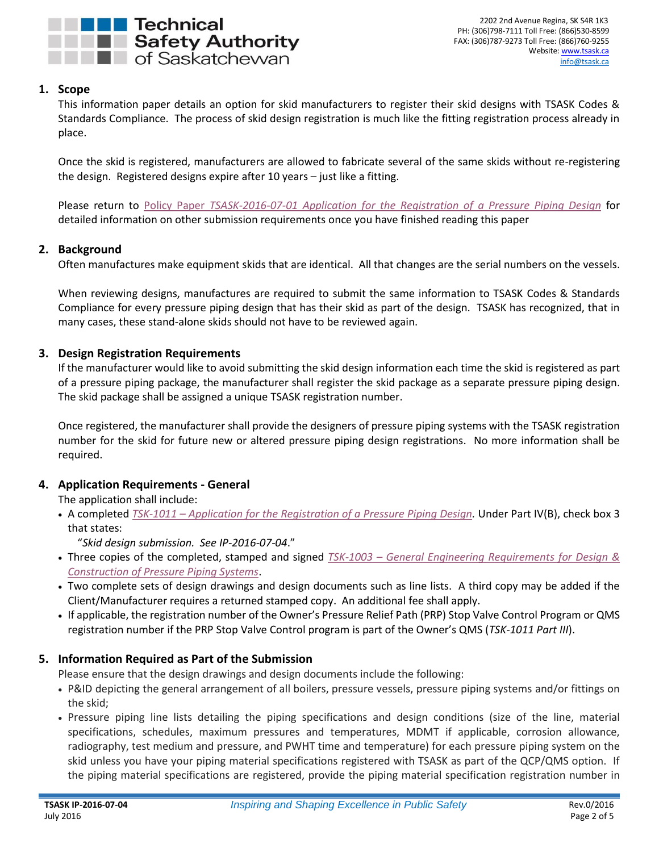

## <span id="page-1-0"></span>**1. Scope**

This information paper details an option for skid manufacturers to register their skid designs with TSASK Codes & Standards Compliance. The process of skid design registration is much like the fitting registration process already in place.

Once the skid is registered, manufacturers are allowed to fabricate several of the same skids without re-registering the design. Registered designs expire after 10 years – just like a fitting.

Please return to Policy Paper *[TSASK-2016-07-01 Application for the Registration of a Pressure Piping Design](http://www.tsask.ca/public/pdf/2016%20Pressure%20Piping/TSASK-2016-07-01_-_Application_for_Pressure_Piping_Review.pdf)* for detailed information on other submission requirements once you have finished reading this paper

## <span id="page-1-1"></span>**2. Background**

Often manufactures make equipment skids that are identical. All that changes are the serial numbers on the vessels.

When reviewing designs, manufactures are required to submit the same information to TSASK Codes & Standards Compliance for every pressure piping design that has their skid as part of the design. TSASK has recognized, that in many cases, these stand-alone skids should not have to be reviewed again.

#### <span id="page-1-2"></span>**3. Design Registration Requirements**

If the manufacturer would like to avoid submitting the skid design information each time the skid is registered as part of a pressure piping package, the manufacturer shall register the skid package as a separate pressure piping design. The skid package shall be assigned a unique TSASK registration number.

Once registered, the manufacturer shall provide the designers of pressure piping systems with the TSASK registration number for the skid for future new or altered pressure piping design registrations. No more information shall be required.

## <span id="page-1-3"></span>**4. Application Requirements - General**

The application shall include:

 A completed *TSK-1011 – [Application for the Registration of a Pressure Piping Design.](http://www.tsask.ca/public/pdf/2016%20Pressure%20Piping/TSK-1011_-_Application_for_the_Registration_of_a_Pressure_Piping_Design_Form.pdf)* Under Part IV(B), check box 3 that states:

"*Skid design submission. See IP-2016-07-04*."

- Three copies of the completed, stamped and signed *TSK-1003 – [General Engineering Requirements for Design &](http://www.tsask.ca/public/pdf/2016%20Pressure%20Piping/TSK-1003_-_General_Engineering_Requirements_for_Pressure_Piping.pdf)  [Construction of Pressure Piping Systems](http://www.tsask.ca/public/pdf/2016%20Pressure%20Piping/TSK-1003_-_General_Engineering_Requirements_for_Pressure_Piping.pdf)*.
- Two complete sets of design drawings and design documents such as line lists. A third copy may be added if the Client/Manufacturer requires a returned stamped copy. An additional fee shall apply.
- If applicable, the registration number of the Owner's Pressure Relief Path (PRP) Stop Valve Control Program or QMS registration number if the PRP Stop Valve Control program is part of the Owner's QMS (*TSK-1011 Part III*).

## <span id="page-1-4"></span>**5. Information Required as Part of the Submission**

Please ensure that the design drawings and design documents include the following:

- P&ID depicting the general arrangement of all boilers, pressure vessels, pressure piping systems and/or fittings on the skid;
- Pressure piping line lists detailing the piping specifications and design conditions (size of the line, material specifications, schedules, maximum pressures and temperatures, MDMT if applicable, corrosion allowance, radiography, test medium and pressure, and PWHT time and temperature) for each pressure piping system on the skid unless you have your piping material specifications registered with TSASK as part of the QCP/QMS option. If the piping material specifications are registered, provide the piping material specification registration number in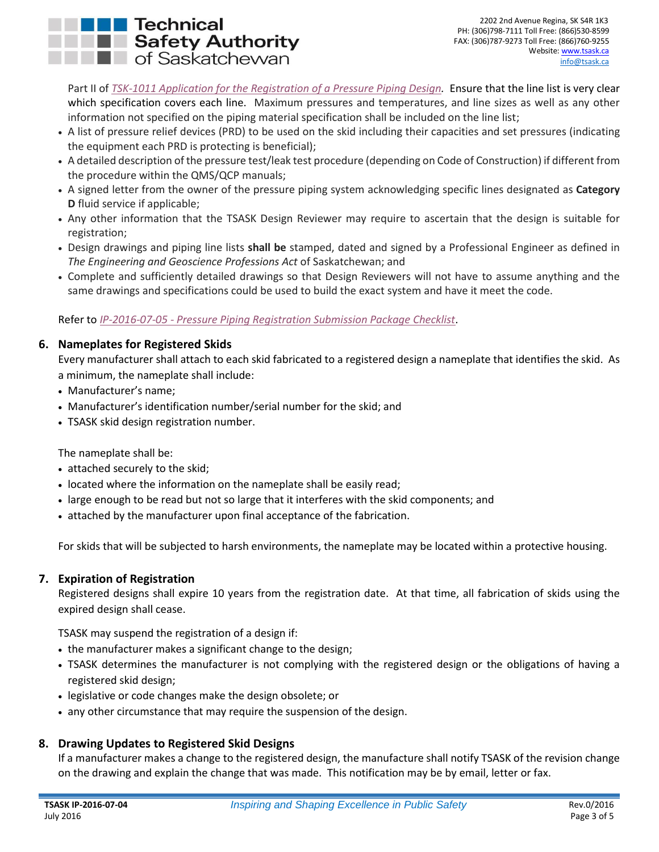# Technical **THE Safety Authority T** of Saskatchewan

Part II of *[TSK-1011 Application for the Registration of a Pressure Piping Design.](http://www.tsask.ca/public/pdf/2016%20Pressure%20Piping/TSK-1011_-_Application_for_the_Registration_of_a_Pressure_Piping_Design_Form.pdf)* Ensure that the line list is very clear which specification covers each line. Maximum pressures and temperatures, and line sizes as well as any other information not specified on the piping material specification shall be included on the line list;

- A list of pressure relief devices (PRD) to be used on the skid including their capacities and set pressures (indicating the equipment each PRD is protecting is beneficial);
- A detailed description of the pressure test/leak test procedure (depending on Code of Construction) if different from the procedure within the QMS/QCP manuals;
- A signed letter from the owner of the pressure piping system acknowledging specific lines designated as **Category D** fluid service if applicable;
- Any other information that the TSASK Design Reviewer may require to ascertain that the design is suitable for registration;
- Design drawings and piping line lists **shall be** stamped, dated and signed by a Professional Engineer as defined in *The Engineering and Geoscience Professions Act* of Saskatchewan; and
- Complete and sufficiently detailed drawings so that Design Reviewers will not have to assume anything and the same drawings and specifications could be used to build the exact system and have it meet the code.

Refer to *IP-2016-07-05 - [Pressure Piping Registration Submission Package Checklist](http://www.tsask.ca/public/pdf/2016%20Pressure%20Piping/IP-2016-07-05_-_Pressure_Piping_Registration_Submission_Package_Checklist.pdf)*.

# <span id="page-2-0"></span>**6. Nameplates for Registered Skids**

Every manufacturer shall attach to each skid fabricated to a registered design a nameplate that identifies the skid. As a minimum, the nameplate shall include:

- Manufacturer's name;
- Manufacturer's identification number/serial number for the skid; and
- TSASK skid design registration number.

The nameplate shall be:

- attached securely to the skid;
- located where the information on the nameplate shall be easily read;
- large enough to be read but not so large that it interferes with the skid components; and
- attached by the manufacturer upon final acceptance of the fabrication.

For skids that will be subjected to harsh environments, the nameplate may be located within a protective housing.

## <span id="page-2-1"></span>**7. Expiration of Registration**

Registered designs shall expire 10 years from the registration date. At that time, all fabrication of skids using the expired design shall cease.

TSASK may suspend the registration of a design if:

- the manufacturer makes a significant change to the design;
- TSASK determines the manufacturer is not complying with the registered design or the obligations of having a registered skid design;
- legislative or code changes make the design obsolete; or
- any other circumstance that may require the suspension of the design.

# <span id="page-2-2"></span>**8. Drawing Updates to Registered Skid Designs**

If a manufacturer makes a change to the registered design, the manufacture shall notify TSASK of the revision change on the drawing and explain the change that was made. This notification may be by email, letter or fax.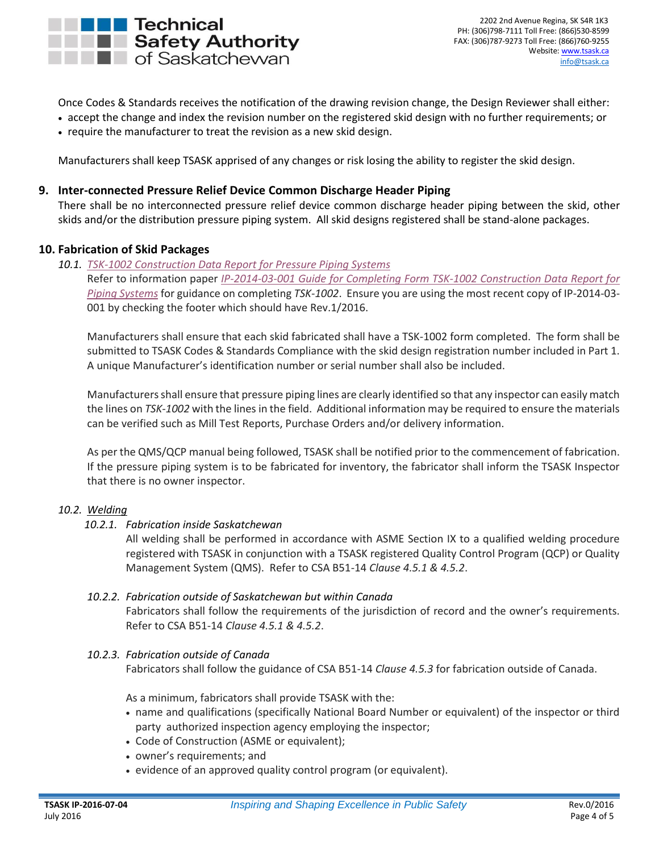

Once Codes & Standards receives the notification of the drawing revision change, the Design Reviewer shall either:

- accept the change and index the revision number on the registered skid design with no further requirements; or
- require the manufacturer to treat the revision as a new skid design.

Manufacturers shall keep TSASK apprised of any changes or risk losing the ability to register the skid design.

#### <span id="page-3-0"></span>**9. Inter-connected Pressure Relief Device Common Discharge Header Piping**

There shall be no interconnected pressure relief device common discharge header piping between the skid, other skids and/or the distribution pressure piping system. All skid designs registered shall be stand-alone packages.

#### <span id="page-3-1"></span>**10. Fabrication of Skid Packages**

<span id="page-3-2"></span>*10.1. [TSK-1002 Construction Data Report for Pressure Piping Systems](http://www.tsask.ca/public/pdf/2016%20Pressure%20Piping/TSK-1002_-_Construction_Data_Report_for_Pressure_Piping_Systems.pdf)* Refer to information paper *[IP-2014-03-001 Guide for Completing](http://www.tsask.ca/public/pdf/2016%20Pressure%20Piping/IP-2014-03-01_-_Guide_for_Completing_Form_TSK-1002.pdf) Form TSK-1002 Construction Data Report for [Piping Systems](http://www.tsask.ca/public/pdf/2016%20Pressure%20Piping/IP-2014-03-01_-_Guide_for_Completing_Form_TSK-1002.pdf)* for guidance on completing *TSK-1002*. Ensure you are using the most recent copy of IP-2014-03- 001 by checking the footer which should have Rev.1/2016.

Manufacturers shall ensure that each skid fabricated shall have a TSK-1002 form completed. The form shall be submitted to TSASK Codes & Standards Compliance with the skid design registration number included in Part 1. A unique Manufacturer's identification number or serial number shall also be included.

Manufacturers shall ensure that pressure piping lines are clearly identified so that any inspector can easily match the lines on *TSK-1002* with the lines in the field. Additional information may be required to ensure the materials can be verified such as Mill Test Reports, Purchase Orders and/or delivery information.

As per the QMS/QCP manual being followed, TSASK shall be notified prior to the commencement of fabrication. If the pressure piping system is to be fabricated for inventory, the fabricator shall inform the TSASK Inspector that there is no owner inspector.

#### <span id="page-3-4"></span><span id="page-3-3"></span>*10.2. Welding*

#### *10.2.1. Fabrication inside Saskatchewan*

All welding shall be performed in accordance with ASME Section IX to a qualified welding procedure registered with TSASK in conjunction with a TSASK registered Quality Control Program (QCP) or Quality Management System (QMS). Refer to CSA B51-14 *Clause 4.5.1 & 4.5.2*.

#### <span id="page-3-5"></span>*10.2.2. Fabrication outside of Saskatchewan but within Canada*

Fabricators shall follow the requirements of the jurisdiction of record and the owner's requirements. Refer to CSA B51-14 *Clause 4.5.1 & 4.5.2*.

## <span id="page-3-6"></span>*10.2.3. Fabrication outside of Canada*

Fabricators shall follow the guidance of CSA B51-14 *Clause 4.5.3* for fabrication outside of Canada.

As a minimum, fabricators shall provide TSASK with the:

- name and qualifications (specifically National Board Number or equivalent) of the inspector or third party authorized inspection agency employing the inspector;
- Code of Construction (ASME or equivalent);
- owner's requirements; and
- evidence of an approved quality control program (or equivalent).